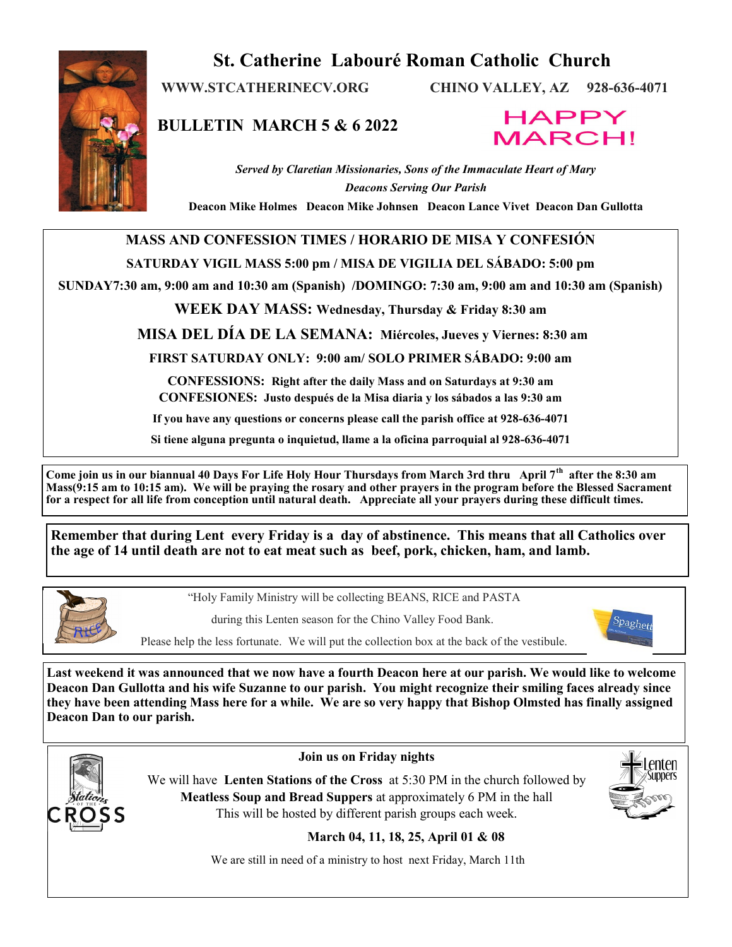

# **St. Catherine Labouré Roman Catholic Church**

**WWW.STCATHERINECV.ORG CHINO VALLEY, AZ 928-636-4071**

**BULLETIN MARCH 5 & 6 2022**



*Served by Claretian Missionaries, Sons of the Immaculate Heart of Mary Deacons Serving Our Parish*

**Deacon Mike Holmes Deacon Mike Johnsen Deacon Lance Vivet Deacon Dan Gullotta**

## **MASS AND CONFESSION TIMES / HORARIO DE MISA Y CONFESIÓN**

### **SATURDAY VIGIL MASS 5:00 pm / MISA DE VIGILIA DEL SÁBADO: 5:00 pm**

**SUNDAY7:30 am, 9:00 am and 10:30 am (Spanish) /DOMINGO: 7:30 am, 9:00 am and 10:30 am (Spanish)** 

**WEEK DAY MASS: Wednesday, Thursday & Friday 8:30 am**

**MISA DEL DÍA DE LA SEMANA: Miércoles, Jueves y Viernes: 8:30 am**

**FIRST SATURDAY ONLY: 9:00 am/ SOLO PRIMER SÁBADO: 9:00 am**

**CONFESSIONS: Right after the daily Mass and on Saturdays at 9:30 am CONFESIONES: Justo después de la Misa diaria y los sábados a las 9:30 am**

**If you have any questions or concerns please call the parish office at 928-636-4071**

**Si tiene alguna pregunta o inquietud, llame a la oficina parroquial al 928-636-4071**

**Come join us in our biannual 40 Days For Life Holy Hour Thursdays from March 3rd thru April 7th after the 8:30 am Mass(9:15 am to 10:15 am). We will be praying the rosary and other prayers in the program before the Blessed Sacrament for a respect for all life from conception until natural death. Appreciate all your prayers during these difficult times.**

**Remember that during Lent every Friday is a day of abstinence. This means that all Catholics over the age of 14 until death are not to eat meat such as beef, pork, chicken, ham, and lamb.** 



"Holy Family Ministry will be collecting BEANS, RICE and PASTA

during this Lenten season for the Chino Valley Food Bank.



Please help the less fortunate. We will put the collection box at the back of the vestibule.

**Last weekend it was announced that we now have a fourth Deacon here at our parish. We would like to welcome Deacon Dan Gullotta and his wife Suzanne to our parish. You might recognize their smiling faces already since they have been attending Mass here for a while. We are so very happy that Bishop Olmsted has finally assigned Deacon Dan to our parish.** 



**Join us on Friday nights** 

We will have **Lenten Stations of the Cross** at 5:30 PM in the church followed by **Meatless Soup and Bread Suppers** at approximately 6 PM in the hall This will be hosted by different parish groups each week.



**March 04, 11, 18, 25, April 01 & 08**

We are still in need of a ministry to host next Friday, March 11th